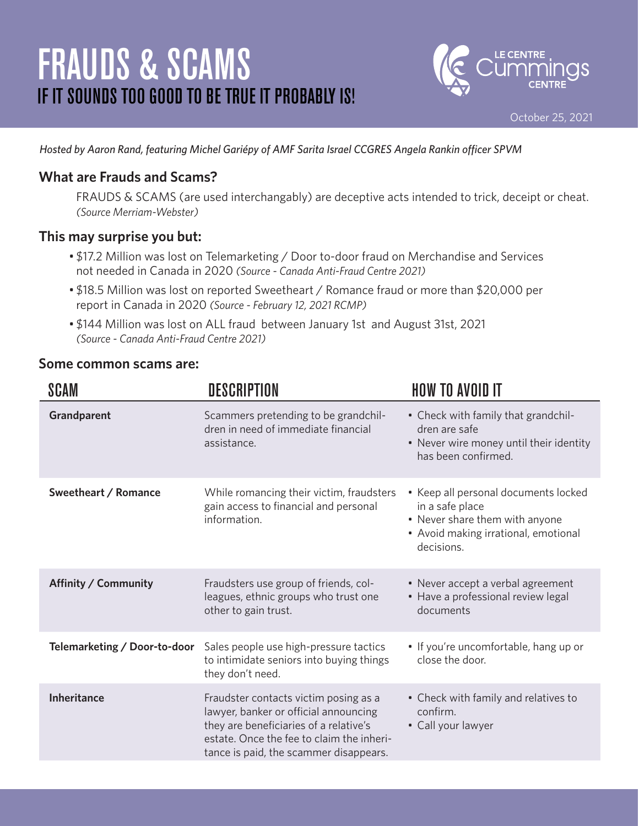# FRAUDS & SCAMS IF IT SOUNDS TOO GOOD TO BE TRUE IT PROBABLY IS!



*Hosted by Aaron Rand, featuring Michel Gariépy of AMF Sarita Israel CCGRES Angela Rankin officer SPVM*

### **What are Frauds and Scams?**

FRAUDS & SCAMS (are used interchangably) are deceptive acts intended to trick, deceipt or cheat. *(Source Merriam-Webster)*

#### **This may surprise you but:**

- \$17.2 Million was lost on Telemarketing / Door to-door fraud on Merchandise and Services not needed in Canada in 2020 *(Source - Canada Anti-Fraud Centre 2021)*
- \$18.5 Million was lost on reported Sweetheart / Romance fraud or more than \$20,000 per report in Canada in 2020 *(Source - February 12, 2021 RCMP)*
- \$144 Million was lost on ALL fraud between January 1st and August 31st, 2021 *(Source - Canada Anti-Fraud Centre 2021)*

#### **Some common scams are:**

| <b>SCAM</b>                  | <b>DESCRIPTION</b>                                                                                                                                                                                              | <b>HOW TO AVOID IT</b>                                                                                                                          |
|------------------------------|-----------------------------------------------------------------------------------------------------------------------------------------------------------------------------------------------------------------|-------------------------------------------------------------------------------------------------------------------------------------------------|
| Grandparent                  | Scammers pretending to be grandchil-<br>dren in need of immediate financial<br>assistance.                                                                                                                      | • Check with family that grandchil-<br>dren are safe<br>• Never wire money until their identity<br>has been confirmed.                          |
| Sweetheart / Romance         | While romancing their victim, fraudsters<br>gain access to financial and personal<br>information.                                                                                                               | • Keep all personal documents locked<br>in a safe place<br>• Never share them with anyone<br>• Avoid making irrational, emotional<br>decisions. |
| Affinity / Community         | Fraudsters use group of friends, col-<br>leagues, ethnic groups who trust one<br>other to gain trust.                                                                                                           | • Never accept a verbal agreement<br>• Have a professional review legal<br>documents                                                            |
| Telemarketing / Door-to-door | Sales people use high-pressure tactics<br>to intimidate seniors into buying things<br>they don't need.                                                                                                          | • If you're uncomfortable, hang up or<br>close the door.                                                                                        |
| <b>Inheritance</b>           | Fraudster contacts victim posing as a<br>lawyer, banker or official announcing<br>they are beneficiaries of a relative's<br>estate. Once the fee to claim the inheri-<br>tance is paid, the scammer disappears. | • Check with family and relatives to<br>confirm.<br>• Call your lawyer                                                                          |